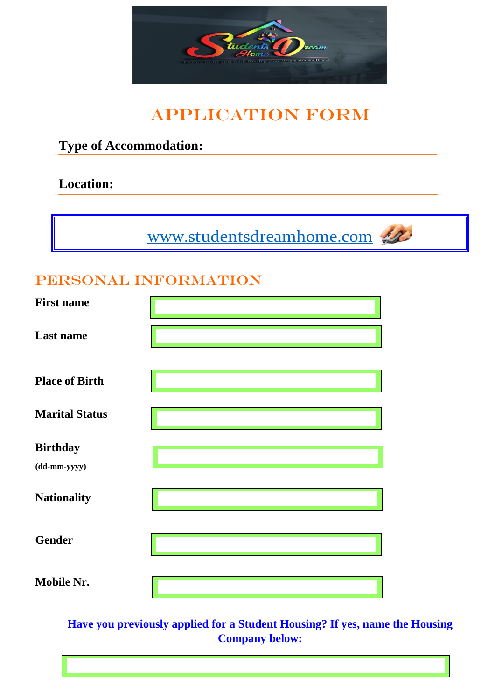

# APPLICATION FORM

### **Type of Accommodation:**

### **Location:**

[www.studentsdreamhome.com](http://www.studentsdreamhome.com/)



### PERSONAL INFORMATION

| <b>First name</b>                                       |                                                                                                                                 |
|---------------------------------------------------------|---------------------------------------------------------------------------------------------------------------------------------|
| <b>Last name</b>                                        |                                                                                                                                 |
| <b>Place of Birth</b>                                   |                                                                                                                                 |
| <b>Marital Status</b>                                   |                                                                                                                                 |
| <b>Birthday</b><br>$(dd{\text{-}\!\text{\rm mm-}}yyyy)$ |                                                                                                                                 |
| <b>Nationality</b>                                      |                                                                                                                                 |
| <b>Gender</b>                                           |                                                                                                                                 |
| <b>Mobile Nr.</b>                                       | $\mathcal{L}^{\text{max}}_{\text{max}}$ and $\mathcal{L}^{\text{max}}_{\text{max}}$ and $\mathcal{L}^{\text{max}}_{\text{max}}$ |

**Have you previously applied for a Student Housing? If yes, name the Housing Company below:**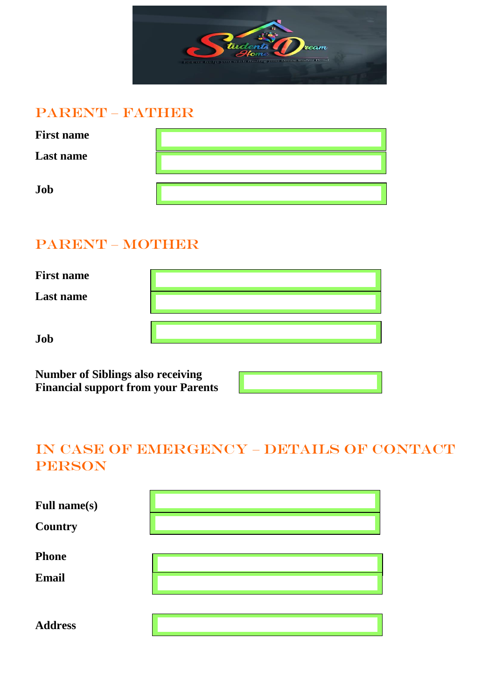

#### PARENT – FAWHER

| <b>First name</b> |  |
|-------------------|--|
| <b>Last name</b>  |  |
| Job               |  |

### PARENT – MOTHER

| <b>First name</b> |  |
|-------------------|--|
| Last name         |  |
| Job               |  |

**Number of Siblings also receiving Financial support from your Parents** 

### IN CASE OF EMERGENCY – DETAILS OF CONTACT PERSON

| <b>Full name(s)</b><br><b>Country</b> |  |
|---------------------------------------|--|
| <b>Phone</b><br><b>Email</b>          |  |
| <b>Address</b>                        |  |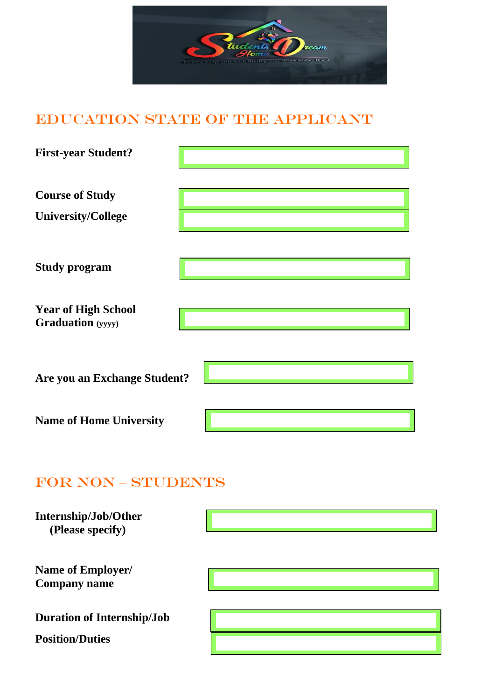

### EDUCATION STATE OF THE APPLICANT

| <b>First-year Student?</b>                             |  |
|--------------------------------------------------------|--|
| <b>Course of Study</b><br><b>University/College</b>    |  |
| <b>Study program</b>                                   |  |
| <b>Year of High School</b><br><b>Graduation</b> (yyyy) |  |
| Are you an Exchange Student?                           |  |
| <b>Name of Home University</b>                         |  |

### FOR NON – STUDENTS

| Internship/Job/Other<br>(Please specify)                    |  |
|-------------------------------------------------------------|--|
| Name of Employer/<br><b>Company name</b>                    |  |
| <b>Duration of Internship/Job</b><br><b>Position/Duties</b> |  |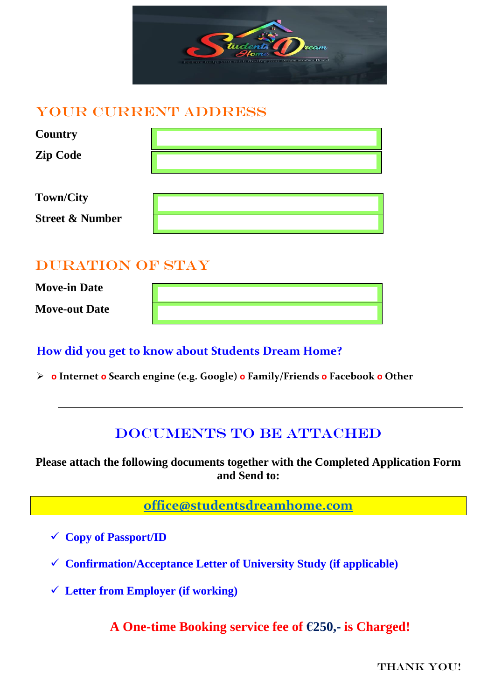

#### YOUR CURRENT ADDRESS

| <b>Country</b>                                 |  |
|------------------------------------------------|--|
| <b>Zip Code</b>                                |  |
| <b>Town/City</b><br><b>Street &amp; Number</b> |  |

### DURATION OF STAY

**Move-in Date Move-out Date**

#### **How did you get to know about Students Dream Home?**

**o Internet o Search engine (e.g. Google) o Family/Friends o Facebook o Other**

### DOCUMENTS TO BE ATTACHED

**Please attach the following documents together with the Completed Application Form and Send to:**

**[office@studentsdreamhome.com](mailto:studentsdreamhome1@gmail.com)**

- **Copy of Passport/ID**
- **Confirmation/Acceptance Letter of University Study (if applicable)**
- **Letter from Employer (if working)**

**A One-time Booking service fee of €250,- is Charged!**